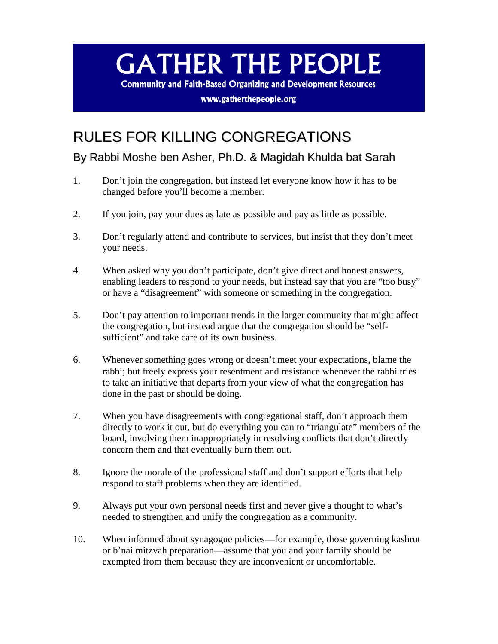## **GATHER THE PEOPLE**

**Community and Faith-Based Organizing and Development Resources** 

www.gatherthepeople.org

## RULES FOR KILLING CONGREGATIONS

By Rabbi Moshe ben Asher, Ph.D. & Magidah Khulda bat Sarah

- 1. Don't join the congregation, but instead let everyone know how it has to be changed before you'll become a member.
- 2. If you join, pay your dues as late as possible and pay as little as possible.
- 3. Don't regularly attend and contribute to services, but insist that they don't meet your needs.
- 4. When asked why you don't participate, don't give direct and honest answers, enabling leaders to respond to your needs, but instead say that you are "too busy" or have a "disagreement" with someone or something in the congregation.
- 5. Don't pay attention to important trends in the larger community that might affect the congregation, but instead argue that the congregation should be "selfsufficient" and take care of its own business.
- 6. Whenever something goes wrong or doesn't meet your expectations, blame the rabbi; but freely express your resentment and resistance whenever the rabbi tries to take an initiative that departs from your view of what the congregation has done in the past or should be doing.
- 7. When you have disagreements with congregational staff, don't approach them directly to work it out, but do everything you can to "triangulate" members of the board, involving them inappropriately in resolving conflicts that don't directly concern them and that eventually burn them out.
- 8. Ignore the morale of the professional staff and don't support efforts that help respond to staff problems when they are identified.
- 9. Always put your own personal needs first and never give a thought to what's needed to strengthen and unify the congregation as a community.
- 10. When informed about synagogue policies—for example, those governing kashrut or b'nai mitzvah preparation—assume that you and your family should be exempted from them because they are inconvenient or uncomfortable.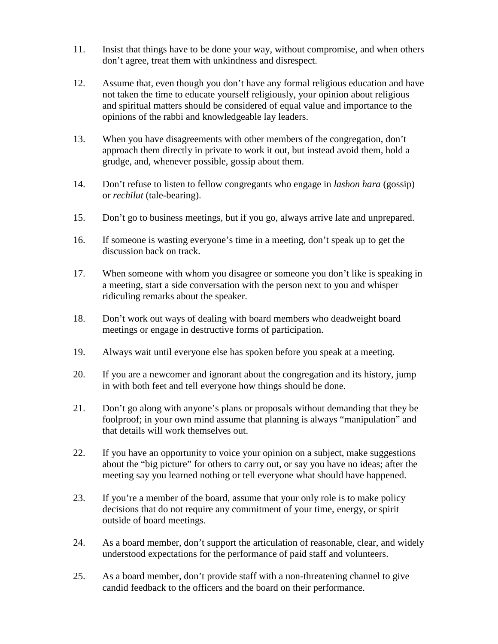- 11. Insist that things have to be done your way, without compromise, and when others don't agree, treat them with unkindness and disrespect.
- 12. Assume that, even though you don't have any formal religious education and have not taken the time to educate yourself religiously, your opinion about religious and spiritual matters should be considered of equal value and importance to the opinions of the rabbi and knowledgeable lay leaders.
- 13. When you have disagreements with other members of the congregation, don't approach them directly in private to work it out, but instead avoid them, hold a grudge, and, whenever possible, gossip about them.
- 14. Don't refuse to listen to fellow congregants who engage in *lashon hara* (gossip) or *rechilut* (tale-bearing).
- 15. Don't go to business meetings, but if you go, always arrive late and unprepared.
- 16. If someone is wasting everyone's time in a meeting, don't speak up to get the discussion back on track.
- 17. When someone with whom you disagree or someone you don't like is speaking in a meeting, start a side conversation with the person next to you and whisper ridiculing remarks about the speaker.
- 18. Don't work out ways of dealing with board members who deadweight board meetings or engage in destructive forms of participation.
- 19. Always wait until everyone else has spoken before you speak at a meeting.
- 20. If you are a newcomer and ignorant about the congregation and its history, jump in with both feet and tell everyone how things should be done.
- 21. Don't go along with anyone's plans or proposals without demanding that they be foolproof; in your own mind assume that planning is always "manipulation" and that details will work themselves out.
- 22. If you have an opportunity to voice your opinion on a subject, make suggestions about the "big picture" for others to carry out, or say you have no ideas; after the meeting say you learned nothing or tell everyone what should have happened.
- 23. If you're a member of the board, assume that your only role is to make policy decisions that do not require any commitment of your time, energy, or spirit outside of board meetings.
- 24. As a board member, don't support the articulation of reasonable, clear, and widely understood expectations for the performance of paid staff and volunteers.
- 25. As a board member, don't provide staff with a non-threatening channel to give candid feedback to the officers and the board on their performance.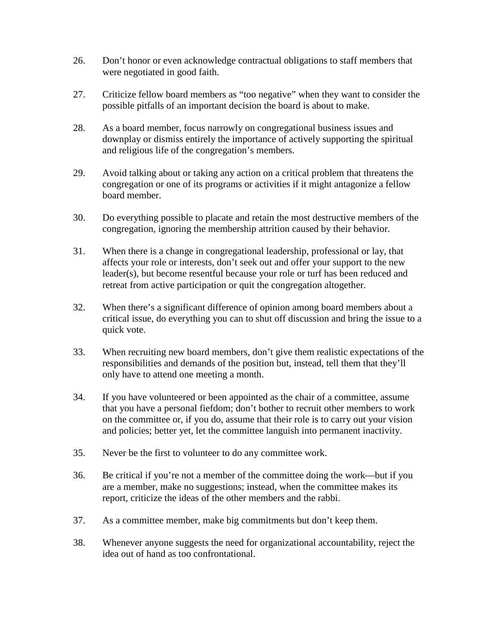- 26. Don't honor or even acknowledge contractual obligations to staff members that were negotiated in good faith.
- 27. Criticize fellow board members as "too negative" when they want to consider the possible pitfalls of an important decision the board is about to make.
- 28. As a board member, focus narrowly on congregational business issues and downplay or dismiss entirely the importance of actively supporting the spiritual and religious life of the congregation's members.
- 29. Avoid talking about or taking any action on a critical problem that threatens the congregation or one of its programs or activities if it might antagonize a fellow board member.
- 30. Do everything possible to placate and retain the most destructive members of the congregation, ignoring the membership attrition caused by their behavior.
- 31. When there is a change in congregational leadership, professional or lay, that affects your role or interests, don't seek out and offer your support to the new leader(s), but become resentful because your role or turf has been reduced and retreat from active participation or quit the congregation altogether.
- 32. When there's a significant difference of opinion among board members about a critical issue, do everything you can to shut off discussion and bring the issue to a quick vote.
- 33. When recruiting new board members, don't give them realistic expectations of the responsibilities and demands of the position but, instead, tell them that they'll only have to attend one meeting a month.
- 34. If you have volunteered or been appointed as the chair of a committee, assume that you have a personal fiefdom; don't bother to recruit other members to work on the committee or, if you do, assume that their role is to carry out your vision and policies; better yet, let the committee languish into permanent inactivity.
- 35. Never be the first to volunteer to do any committee work.
- 36. Be critical if you're not a member of the committee doing the work—but if you are a member, make no suggestions; instead, when the committee makes its report, criticize the ideas of the other members and the rabbi.
- 37. As a committee member, make big commitments but don't keep them.
- 38. Whenever anyone suggests the need for organizational accountability, reject the idea out of hand as too confrontational.